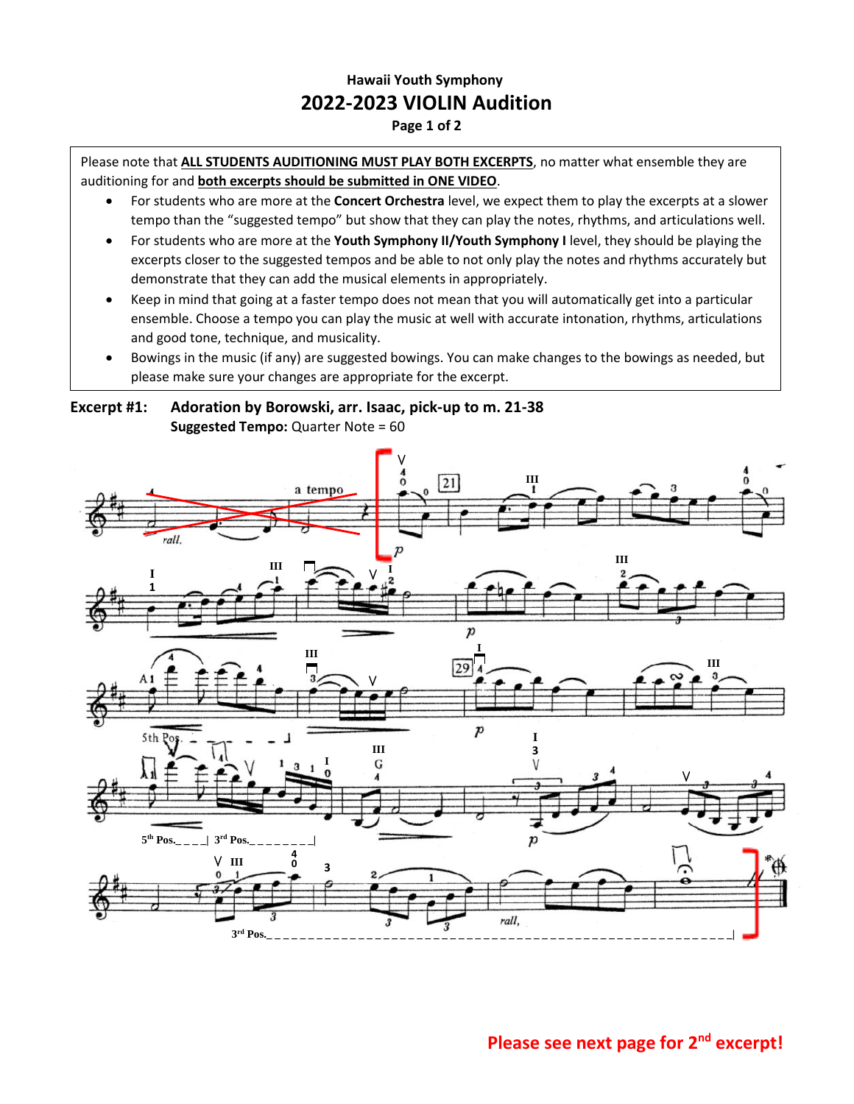## **Hawaii Youth Symphony 2022-2023 VIOLIN Audition**

## **Page 1 of 2**

Please note that **ALL STUDENTS AUDITIONING MUST PLAY BOTH EXCERPTS**, no matter what ensemble they are auditioning for and **both excerpts should be submitted in ONE VIDEO**.

- For students who are more at the **Concert Orchestra** level, we expect them to play the excerpts at a slower tempo than the "suggested tempo" but show that they can play the notes, rhythms, and articulations well.
- For students who are more at the **Youth Symphony II/Youth Symphony I** level, they should be playing the excerpts closer to the suggested tempos and be able to not only play the notes and rhythms accurately but demonstrate that they can add the musical elements in appropriately.
- Keep in mind that going at a faster tempo does not mean that you will automatically get into a particular ensemble. Choose a tempo you can play the music at well with accurate intonation, rhythms, articulations and good tone, technique, and musicality.
- Bowings in the music (if any) are suggested bowings. You can make changes to the bowings as needed, but please make sure your changes are appropriate for the excerpt.

**Excerpt #1: Adoration by Borowski, arr. Isaac, pick-up to m. 21-38 Suggested Tempo: Quarter Note = 60** 



**Please see next page for 2nd excerpt!**